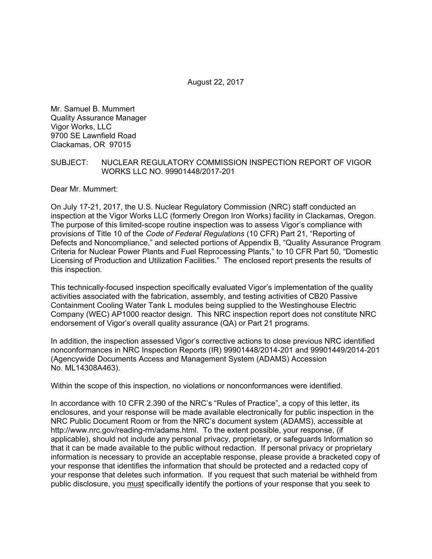August 22, 2017

Mr. Samuel B. Mummert Quality Assurance Manager Vigor Works, LLC 9700 SE Lawnfield Road Clackamas, OR 97015

#### SUBJECT: NUCLEAR REGULATORY COMMISSION INSPECTION REPORT OF VIGOR WORKS LLC NO. 99901448/2017-201

Dear Mr. Mummert:

On July 17-21, 2017, the U.S. Nuclear Regulatory Commission (NRC) staff conducted an inspection at the Vigor Works LLC (formerly Oregon Iron Works) facility in Clackamas, Oregon. The purpose of this limited-scope routine inspection was to assess Vigor's compliance with provisions of Title 10 of the *Code of Federal Regulations* (10 CFR) Part 21, "Reporting of Defects and Noncompliance," and selected portions of Appendix B, "Quality Assurance Program Criteria for Nuclear Power Plants and Fuel Reprocessing Plants," to 10 CFR Part 50, "Domestic Licensing of Production and Utilization Facilities." The enclosed report presents the results of this inspection.

This technically-focused inspection specifically evaluated Vigor's implementation of the quality activities associated with the fabrication, assembly, and testing activities of CB20 Passive Containment Cooling Water Tank L modules being supplied to the Westinghouse Electric Company (WEC) AP1000 reactor design. This NRC inspection report does not constitute NRC endorsement of Vigor's overall quality assurance (QA) or Part 21 programs.

In addition, the inspection assessed Vigor's corrective actions to close previous NRC identified nonconformances in NRC Inspection Reports (IR) 99901448/2014-201 and 99901449/2014-201 (Agencywide Documents Access and Management System (ADAMS) Accession No. ML14308A463).

Within the scope of this inspection, no violations or nonconformances were identified.

In accordance with 10 CFR 2.390 of the NRC's "Rules of Practice", a copy of this letter, its enclosures, and your response will be made available electronically for public inspection in the NRC Public Document Room or from the NRC's document system (ADAMS), accessible at http://www.nrc.gov/reading-rm/adams.html. To the extent possible, your response, (if applicable), should not include any personal privacy, proprietary, or safeguards Information so that it can be made available to the public without redaction. If personal privacy or proprietary information is necessary to provide an acceptable response, please provide a bracketed copy of your response that identifies the information that should be protected and a redacted copy of your response that deletes such information. If you request that such material be withheld from public disclosure, you must specifically identify the portions of your response that you seek to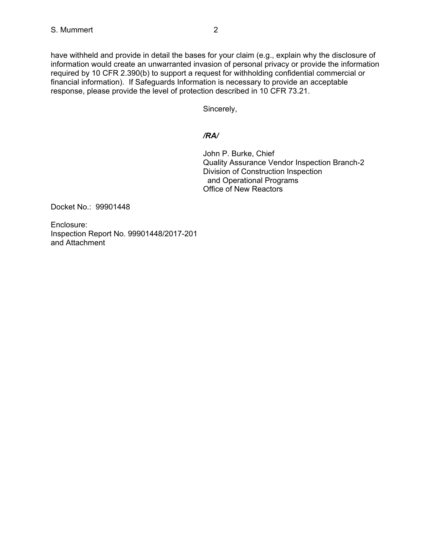have withheld and provide in detail the bases for your claim (e.g., explain why the disclosure of information would create an unwarranted invasion of personal privacy or provide the information required by 10 CFR 2.390(b) to support a request for withholding confidential commercial or financial information). If Safeguards Information is necessary to provide an acceptable response, please provide the level of protection described in 10 CFR 73.21.

Sincerely,

## */RA/*

John P. Burke, Chief Quality Assurance Vendor Inspection Branch-2 Division of Construction Inspection and Operational Programs Office of New Reactors

Docket No.: 99901448

Enclosure: Inspection Report No. 99901448/2017-201 and Attachment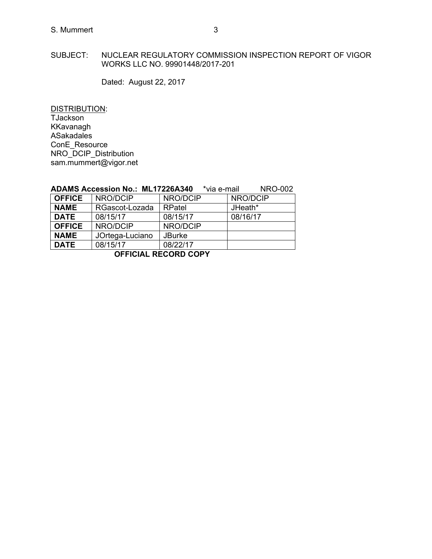## S. Mummert 3

#### SUBJECT: NUCLEAR REGULATORY COMMISSION INSPECTION REPORT OF VIGOR WORKS LLC NO. 99901448/2017-201

Dated: August 22, 2017

DISTRIBUTION: TJackson KKavanagh ASakadales ConE\_Resource NRO\_DCIP\_Distribution sam.mummert@vigor.net

|               | ADAMO ACCESSION NO METTZZOAJTU |               | via c-mail<br>11112702 |
|---------------|--------------------------------|---------------|------------------------|
| <b>OFFICE</b> | NRO/DCIP                       | NRO/DCIP      | NRO/DCIP               |
| <b>NAME</b>   | RGascot-Lozada                 | RPatel        | JHeath*                |
| <b>DATE</b>   | 08/15/17                       | 08/15/17      | 08/16/17               |
| <b>OFFICE</b> | NRO/DCIP                       | NRO/DCIP      |                        |
| <b>NAME</b>   | JOrtega-Luciano                | <b>JBurke</b> |                        |
| <b>DATE</b>   | 08/15/17                       | 08/22/17      |                        |

#### **ADAMS Accession No.: ML17226A340** \*via e-mail NRO-002

**OFFICIAL RECORD COPY**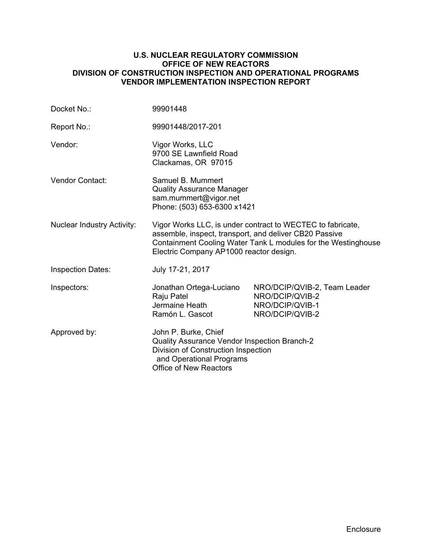#### **U.S. NUCLEAR REGULATORY COMMISSION OFFICE OF NEW REACTORS DIVISION OF CONSTRUCTION INSPECTION AND OPERATIONAL PROGRAMS VENDOR IMPLEMENTATION INSPECTION REPORT**

| Docket No.:                       | 99901448                                                                                                                                                                                                                         |                                                                                       |  |
|-----------------------------------|----------------------------------------------------------------------------------------------------------------------------------------------------------------------------------------------------------------------------------|---------------------------------------------------------------------------------------|--|
| Report No.:                       | 99901448/2017-201                                                                                                                                                                                                                |                                                                                       |  |
| Vendor:                           | Vigor Works, LLC<br>9700 SE Lawnfield Road<br>Clackamas, OR 97015                                                                                                                                                                |                                                                                       |  |
| Vendor Contact:                   | Samuel B. Mummert<br><b>Quality Assurance Manager</b><br>sam.mummert@vigor.net<br>Phone: (503) 653-6300 x1421                                                                                                                    |                                                                                       |  |
| <b>Nuclear Industry Activity:</b> | Vigor Works LLC, is under contract to WECTEC to fabricate,<br>assemble, inspect, transport, and deliver CB20 Passive<br>Containment Cooling Water Tank L modules for the Westinghouse<br>Electric Company AP1000 reactor design. |                                                                                       |  |
| <b>Inspection Dates:</b>          | July 17-21, 2017                                                                                                                                                                                                                 |                                                                                       |  |
| Inspectors:                       | Jonathan Ortega-Luciano<br>Raju Patel<br>Jermaine Heath<br>Ramón L. Gascot                                                                                                                                                       | NRO/DCIP/QVIB-2, Team Leader<br>NRO/DCIP/QVIB-2<br>NRO/DCIP/QVIB-1<br>NRO/DCIP/QVIB-2 |  |
| Approved by:                      | John P. Burke, Chief<br>Quality Assurance Vendor Inspection Branch-2<br>Division of Construction Inspection<br>and Operational Programs<br><b>Office of New Reactors</b>                                                         |                                                                                       |  |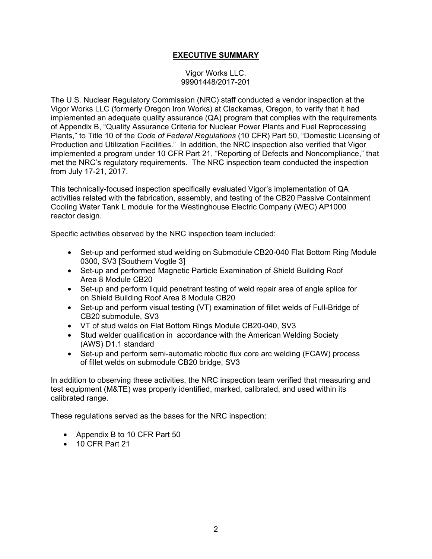## **EXECUTIVE SUMMARY**

Vigor Works LLC. 99901448/2017-201

The U.S. Nuclear Regulatory Commission (NRC) staff conducted a vendor inspection at the Vigor Works LLC (formerly Oregon Iron Works) at Clackamas, Oregon, to verify that it had implemented an adequate quality assurance (QA) program that complies with the requirements of Appendix B, "Quality Assurance Criteria for Nuclear Power Plants and Fuel Reprocessing Plants," to Title 10 of the *Code of Federal Regulations* (10 CFR) Part 50, "Domestic Licensing of Production and Utilization Facilities." In addition, the NRC inspection also verified that Vigor implemented a program under 10 CFR Part 21, "Reporting of Defects and Noncompliance," that met the NRC's regulatory requirements. The NRC inspection team conducted the inspection from July 17-21, 2017.

This technically-focused inspection specifically evaluated Vigor's implementation of QA activities related with the fabrication, assembly, and testing of the CB20 Passive Containment Cooling Water Tank L module for the Westinghouse Electric Company (WEC) AP1000 reactor design.

Specific activities observed by the NRC inspection team included:

- Set-up and performed stud welding on Submodule CB20-040 Flat Bottom Ring Module 0300, SV3 [Southern Vogtle 3]
- Set-up and performed Magnetic Particle Examination of Shield Building Roof Area 8 Module CB20
- Set-up and perform liquid penetrant testing of weld repair area of angle splice for on Shield Building Roof Area 8 Module CB20
- Set-up and perform visual testing (VT) examination of fillet welds of Full-Bridge of CB20 submodule, SV3
- VT of stud welds on Flat Bottom Rings Module CB20-040, SV3
- Stud welder qualification in accordance with the American Welding Society (AWS) D1.1 standard
- Set-up and perform semi-automatic robotic flux core arc welding (FCAW) process of fillet welds on submodule CB20 bridge, SV3

In addition to observing these activities, the NRC inspection team verified that measuring and test equipment (M&TE) was properly identified, marked, calibrated, and used within its calibrated range.

These regulations served as the bases for the NRC inspection:

- Appendix B to 10 CFR Part 50
- 10 CFR Part 21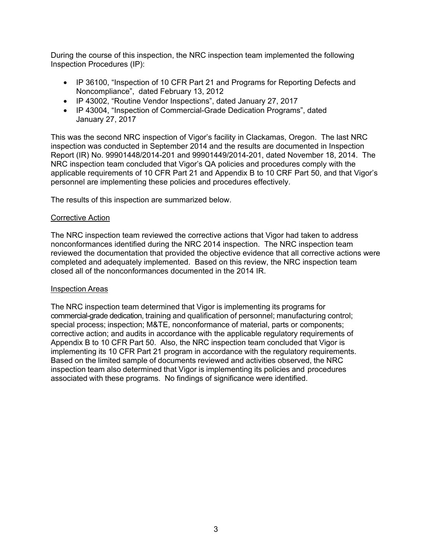During the course of this inspection, the NRC inspection team implemented the following Inspection Procedures (IP):

- IP 36100, "Inspection of 10 CFR Part 21 and Programs for Reporting Defects and Noncompliance", dated February 13, 2012
- IP 43002, "Routine Vendor Inspections", dated January 27, 2017
- IP 43004, "Inspection of Commercial-Grade Dedication Programs", dated January 27, 2017

This was the second NRC inspection of Vigor's facility in Clackamas, Oregon. The last NRC inspection was conducted in September 2014 and the results are documented in Inspection Report (IR) No. 99901448/2014-201 and 99901449/2014-201, dated November 18, 2014. The NRC inspection team concluded that Vigor's QA policies and procedures comply with the applicable requirements of 10 CFR Part 21 and Appendix B to 10 CRF Part 50, and that Vigor's personnel are implementing these policies and procedures effectively.

The results of this inspection are summarized below.

### Corrective Action

The NRC inspection team reviewed the corrective actions that Vigor had taken to address nonconformances identified during the NRC 2014 inspection. The NRC inspection team reviewed the documentation that provided the objective evidence that all corrective actions were completed and adequately implemented. Based on this review, the NRC inspection team closed all of the nonconformances documented in the 2014 IR.

#### Inspection Areas

The NRC inspection team determined that Vigor is implementing its programs for commercial-grade dedication, training and qualification of personnel; manufacturing control; special process; inspection; M&TE, nonconformance of material, parts or components; corrective action; and audits in accordance with the applicable regulatory requirements of Appendix B to 10 CFR Part 50. Also, the NRC inspection team concluded that Vigor is implementing its 10 CFR Part 21 program in accordance with the regulatory requirements. Based on the limited sample of documents reviewed and activities observed, the NRC inspection team also determined that Vigor is implementing its policies and procedures associated with these programs. No findings of significance were identified.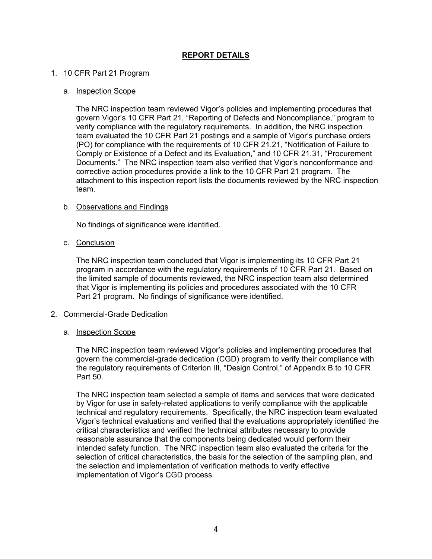## **REPORT DETAILS**

### 1. 10 CFR Part 21 Program

#### a. Inspection Scope

The NRC inspection team reviewed Vigor's policies and implementing procedures that govern Vigor's 10 CFR Part 21, "Reporting of Defects and Noncompliance," program to verify compliance with the regulatory requirements. In addition, the NRC inspection team evaluated the 10 CFR Part 21 postings and a sample of Vigor's purchase orders (PO) for compliance with the requirements of 10 CFR 21.21, "Notification of Failure to Comply or Existence of a Defect and its Evaluation," and 10 CFR 21.31, "Procurement Documents." The NRC inspection team also verified that Vigor's nonconformance and corrective action procedures provide a link to the 10 CFR Part 21 program. The attachment to this inspection report lists the documents reviewed by the NRC inspection team.

### b. Observations and Findings

No findings of significance were identified.

### c. Conclusion

The NRC inspection team concluded that Vigor is implementing its 10 CFR Part 21 program in accordance with the regulatory requirements of 10 CFR Part 21. Based on the limited sample of documents reviewed, the NRC inspection team also determined that Vigor is implementing its policies and procedures associated with the 10 CFR Part 21 program. No findings of significance were identified.

## 2. Commercial-Grade Dedication

#### a. Inspection Scope

The NRC inspection team reviewed Vigor's policies and implementing procedures that govern the commercial-grade dedication (CGD) program to verify their compliance with the regulatory requirements of Criterion III, "Design Control," of Appendix B to 10 CFR Part 50.

The NRC inspection team selected a sample of items and services that were dedicated by Vigor for use in safety-related applications to verify compliance with the applicable technical and regulatory requirements. Specifically, the NRC inspection team evaluated Vigor's technical evaluations and verified that the evaluations appropriately identified the critical characteristics and verified the technical attributes necessary to provide reasonable assurance that the components being dedicated would perform their intended safety function. The NRC inspection team also evaluated the criteria for the selection of critical characteristics, the basis for the selection of the sampling plan, and the selection and implementation of verification methods to verify effective implementation of Vigor's CGD process.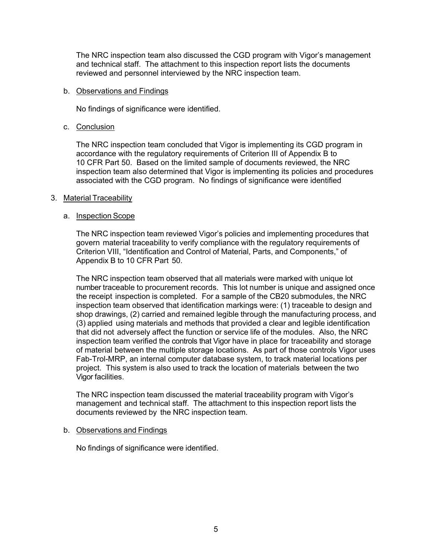The NRC inspection team also discussed the CGD program with Vigor's management and technical staff. The attachment to this inspection report lists the documents reviewed and personnel interviewed by the NRC inspection team.

#### b. Observations and Findings

No findings of significance were identified.

## c. Conclusion

The NRC inspection team concluded that Vigor is implementing its CGD program in accordance with the regulatory requirements of Criterion III of Appendix B to 10 CFR Part 50. Based on the limited sample of documents reviewed, the NRC inspection team also determined that Vigor is implementing its policies and procedures associated with the CGD program. No findings of significance were identified

### 3. Material Traceability

### a. Inspection Scope

The NRC inspection team reviewed Vigor's policies and implementing procedures that govern material traceability to verify compliance with the regulatory requirements of Criterion VIII, "Identification and Control of Material, Parts, and Components," of Appendix B to 10 CFR Part 50.

The NRC inspection team observed that all materials were marked with unique lot number traceable to procurement records. This lot number is unique and assigned once the receipt inspection is completed. For a sample of the CB20 submodules, the NRC inspection team observed that identification markings were: (1) traceable to design and shop drawings, (2) carried and remained legible through the manufacturing process, and (3) applied using materials and methods that provided a clear and legible identification that did not adversely affect the function or service life of the modules. Also, the NRC inspection team verified the controls that Vigor have in place for traceability and storage of material between the multiple storage locations. As part of those controls Vigor uses Fab-Trol-MRP, an internal computer database system, to track material locations per project. This system is also used to track the location of materials between the two Vigor facilities.

The NRC inspection team discussed the material traceability program with Vigor's management and technical staff. The attachment to this inspection report lists the documents reviewed by the NRC inspection team.

## b. Observations and Findings

No findings of significance were identified.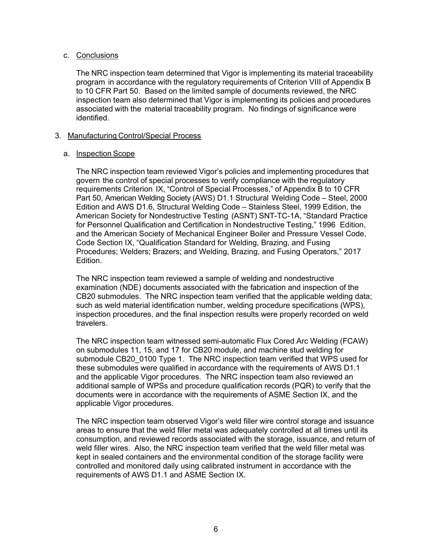## c. Conclusions

The NRC inspection team determined that Vigor is implementing its material traceability program in accordance with the regulatory requirements of Criterion VIII of Appendix B to 10 CFR Part 50. Based on the limited sample of documents reviewed, the NRC inspection team also determined that Vigor is implementing its policies and procedures associated with the material traceability program. No findings of significance were identified.

## 3. Manufacturing Control/Special Process

### a. Inspection Scope

The NRC inspection team reviewed Vigor's policies and implementing procedures that govern the control of special processes to verify compliance with the regulatory requirements Criterion IX, "Control of Special Processes," of Appendix B to 10 CFR Part 50, American Welding Society (AWS) D1.1 Structural Welding Code – Steel, 2000 Edition and AWS D1.6, Structural Welding Code – Stainless Steel, 1999 Edition, the American Society for Nondestructive Testing (ASNT) SNT-TC-1A, "Standard Practice for Personnel Qualification and Certification in Nondestructive Testing," 1996 Edition, and the American Society of Mechanical Engineer Boiler and Pressure Vessel Code, Code Section IX, "Qualification Standard for Welding, Brazing, and Fusing Procedures; Welders; Brazers; and Welding, Brazing, and Fusing Operators," 2017 Edition.

The NRC inspection team reviewed a sample of welding and nondestructive examination (NDE) documents associated with the fabrication and inspection of the CB20 submodules. The NRC inspection team verified that the applicable welding data; such as weld material identification number, welding procedure specifications (WPS), inspection procedures, and the final inspection results were properly recorded on weld travelers.

The NRC inspection team witnessed semi-automatic Flux Cored Arc Welding (FCAW) on submodules 11, 15, and 17 for CB20 module, and machine stud welding for submodule CB20\_0100 Type 1. The NRC inspection team verified that WPS used for these submodules were qualified in accordance with the requirements of AWS D1.1 and the applicable Vigor procedures. The NRC inspection team also reviewed an additional sample of WPSs and procedure qualification records (PQR) to verify that the documents were in accordance with the requirements of ASME Section IX, and the applicable Vigor procedures.

The NRC inspection team observed Vigor's weld filler wire control storage and issuance areas to ensure that the weld filler metal was adequately controlled at all times until its consumption, and reviewed records associated with the storage, issuance, and return of weld filler wires. Also, the NRC inspection team verified that the weld filler metal was kept in sealed containers and the environmental condition of the storage facility were controlled and monitored daily using calibrated instrument in accordance with the requirements of AWS D1.1 and ASME Section IX.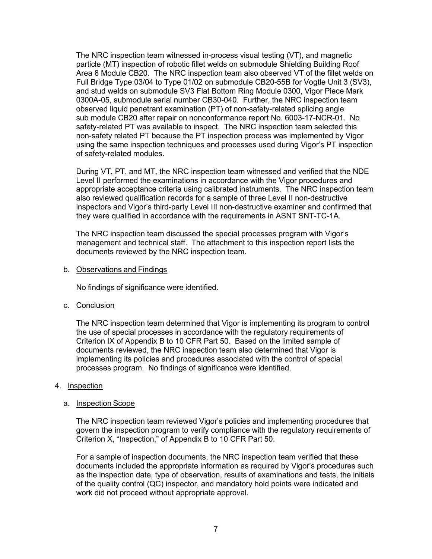The NRC inspection team witnessed in-process visual testing (VT), and magnetic particle (MT) inspection of robotic fillet welds on submodule Shielding Building Roof Area 8 Module CB20. The NRC inspection team also observed VT of the fillet welds on Full Bridge Type 03/04 to Type 01/02 on submodule CB20-55B for Vogtle Unit 3 (SV3), and stud welds on submodule SV3 Flat Bottom Ring Module 0300, Vigor Piece Mark 0300A-05, submodule serial number CB30-040. Further, the NRC inspection team observed liquid penetrant examination (PT) of non-safety-related splicing angle sub module CB20 after repair on nonconformance report No. 6003-17-NCR-01. No safety-related PT was available to inspect. The NRC inspection team selected this non-safety related PT because the PT inspection process was implemented by Vigor using the same inspection techniques and processes used during Vigor's PT inspection of safety-related modules.

During VT, PT, and MT, the NRC inspection team witnessed and verified that the NDE Level II performed the examinations in accordance with the Vigor procedures and appropriate acceptance criteria using calibrated instruments. The NRC inspection team also reviewed qualification records for a sample of three Level II non-destructive inspectors and Vigor's third-party Level III non-destructive examiner and confirmed that they were qualified in accordance with the requirements in ASNT SNT-TC-1A.

The NRC inspection team discussed the special processes program with Vigor's management and technical staff. The attachment to this inspection report lists the documents reviewed by the NRC inspection team.

#### b. Observations and Findings

No findings of significance were identified.

c. Conclusion

The NRC inspection team determined that Vigor is implementing its program to control the use of special processes in accordance with the regulatory requirements of Criterion IX of Appendix B to 10 CFR Part 50. Based on the limited sample of documents reviewed, the NRC inspection team also determined that Vigor is implementing its policies and procedures associated with the control of special processes program. No findings of significance were identified.

#### 4. Inspection

#### a. Inspection Scope

The NRC inspection team reviewed Vigor's policies and implementing procedures that govern the inspection program to verify compliance with the regulatory requirements of Criterion X, "Inspection," of Appendix B to 10 CFR Part 50.

For a sample of inspection documents, the NRC inspection team verified that these documents included the appropriate information as required by Vigor's procedures such as the inspection date, type of observation, results of examinations and tests, the initials of the quality control (QC) inspector, and mandatory hold points were indicated and work did not proceed without appropriate approval.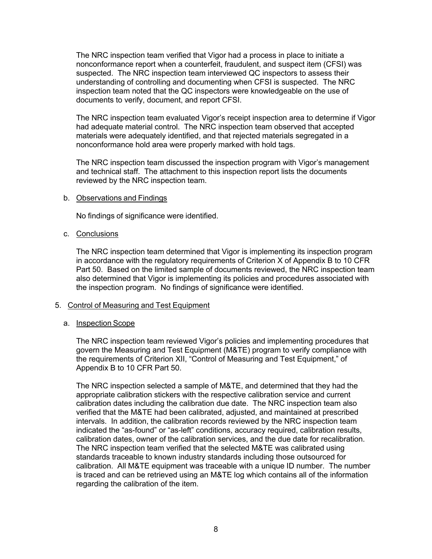The NRC inspection team verified that Vigor had a process in place to initiate a nonconformance report when a counterfeit, fraudulent, and suspect item (CFSI) was suspected. The NRC inspection team interviewed QC inspectors to assess their understanding of controlling and documenting when CFSI is suspected. The NRC inspection team noted that the QC inspectors were knowledgeable on the use of documents to verify, document, and report CFSI.

The NRC inspection team evaluated Vigor's receipt inspection area to determine if Vigor had adequate material control. The NRC inspection team observed that accepted materials were adequately identified, and that rejected materials segregated in a nonconformance hold area were properly marked with hold tags.

The NRC inspection team discussed the inspection program with Vigor's management and technical staff. The attachment to this inspection report lists the documents reviewed by the NRC inspection team.

#### b. Observations and Findings

No findings of significance were identified.

### c. Conclusions

The NRC inspection team determined that Vigor is implementing its inspection program in accordance with the regulatory requirements of Criterion X of Appendix B to 10 CFR Part 50. Based on the limited sample of documents reviewed, the NRC inspection team also determined that Vigor is implementing its policies and procedures associated with the inspection program. No findings of significance were identified.

## 5. Control of Measuring and Test Equipment

#### a. Inspection Scope

The NRC inspection team reviewed Vigor's policies and implementing procedures that govern the Measuring and Test Equipment (M&TE) program to verify compliance with the requirements of Criterion XII, "Control of Measuring and Test Equipment," of Appendix B to 10 CFR Part 50.

The NRC inspection selected a sample of M&TE, and determined that they had the appropriate calibration stickers with the respective calibration service and current calibration dates including the calibration due date. The NRC inspection team also verified that the M&TE had been calibrated, adjusted, and maintained at prescribed intervals. In addition, the calibration records reviewed by the NRC inspection team indicated the "as-found" or "as-left" conditions, accuracy required, calibration results, calibration dates, owner of the calibration services, and the due date for recalibration. The NRC inspection team verified that the selected M&TE was calibrated using standards traceable to known industry standards including those outsourced for calibration. All M&TE equipment was traceable with a unique ID number. The number is traced and can be retrieved using an M&TE log which contains all of the information regarding the calibration of the item.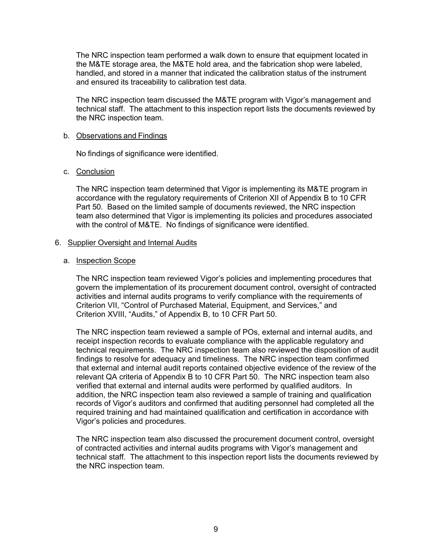The NRC inspection team performed a walk down to ensure that equipment located in the M&TE storage area, the M&TE hold area, and the fabrication shop were labeled, handled, and stored in a manner that indicated the calibration status of the instrument and ensured its traceability to calibration test data.

The NRC inspection team discussed the M&TE program with Vigor's management and technical staff. The attachment to this inspection report lists the documents reviewed by the NRC inspection team.

#### b. Observations and Findings

No findings of significance were identified.

### c. Conclusion

The NRC inspection team determined that Vigor is implementing its M&TE program in accordance with the regulatory requirements of Criterion XII of Appendix B to 10 CFR Part 50. Based on the limited sample of documents reviewed, the NRC inspection team also determined that Vigor is implementing its policies and procedures associated with the control of M&TE. No findings of significance were identified.

### 6. Supplier Oversight and Internal Audits

#### a. Inspection Scope

The NRC inspection team reviewed Vigor's policies and implementing procedures that govern the implementation of its procurement document control, oversight of contracted activities and internal audits programs to verify compliance with the requirements of Criterion VII, "Control of Purchased Material, Equipment, and Services," and Criterion XVIII, "Audits," of Appendix B, to 10 CFR Part 50.

The NRC inspection team reviewed a sample of POs, external and internal audits, and receipt inspection records to evaluate compliance with the applicable regulatory and technical requirements. The NRC inspection team also reviewed the disposition of audit findings to resolve for adequacy and timeliness. The NRC inspection team confirmed that external and internal audit reports contained objective evidence of the review of the relevant QA criteria of Appendix B to 10 CFR Part 50. The NRC inspection team also verified that external and internal audits were performed by qualified auditors. In addition, the NRC inspection team also reviewed a sample of training and qualification records of Vigor's auditors and confirmed that auditing personnel had completed all the required training and had maintained qualification and certification in accordance with Vigor's policies and procedures.

The NRC inspection team also discussed the procurement document control, oversight of contracted activities and internal audits programs with Vigor's management and technical staff. The attachment to this inspection report lists the documents reviewed by the NRC inspection team.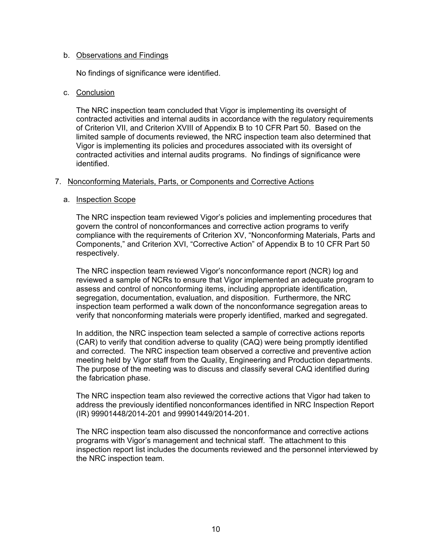#### b. Observations and Findings

No findings of significance were identified.

### c. Conclusion

The NRC inspection team concluded that Vigor is implementing its oversight of contracted activities and internal audits in accordance with the regulatory requirements of Criterion VII, and Criterion XVIII of Appendix B to 10 CFR Part 50. Based on the limited sample of documents reviewed, the NRC inspection team also determined that Vigor is implementing its policies and procedures associated with its oversight of contracted activities and internal audits programs. No findings of significance were identified.

### 7. Nonconforming Materials, Parts, or Components and Corrective Actions

#### a. Inspection Scope

The NRC inspection team reviewed Vigor's policies and implementing procedures that govern the control of nonconformances and corrective action programs to verify compliance with the requirements of Criterion XV, "Nonconforming Materials, Parts and Components," and Criterion XVI, "Corrective Action" of Appendix B to 10 CFR Part 50 respectively.

The NRC inspection team reviewed Vigor's nonconformance report (NCR) log and reviewed a sample of NCRs to ensure that Vigor implemented an adequate program to assess and control of nonconforming items, including appropriate identification, segregation, documentation, evaluation, and disposition. Furthermore, the NRC inspection team performed a walk down of the nonconformance segregation areas to verify that nonconforming materials were properly identified, marked and segregated.

In addition, the NRC inspection team selected a sample of corrective actions reports (CAR) to verify that condition adverse to quality (CAQ) were being promptly identified and corrected. The NRC inspection team observed a corrective and preventive action meeting held by Vigor staff from the Quality, Engineering and Production departments. The purpose of the meeting was to discuss and classify several CAQ identified during the fabrication phase.

The NRC inspection team also reviewed the corrective actions that Vigor had taken to address the previously identified nonconformances identified in NRC Inspection Report (IR) 99901448/2014-201 and 99901449/2014-201.

The NRC inspection team also discussed the nonconformance and corrective actions programs with Vigor's management and technical staff. The attachment to this inspection report list includes the documents reviewed and the personnel interviewed by the NRC inspection team.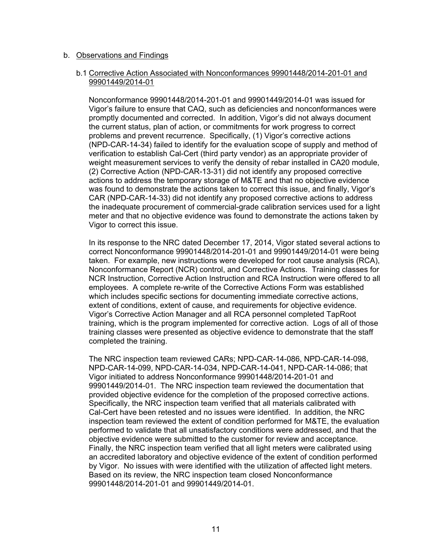#### b. Observations and Findings

#### b.1 Corrective Action Associated with Nonconformances 99901448/2014-201-01 and 99901449/2014-01

Nonconformance 99901448/2014-201-01 and 99901449/2014-01 was issued for Vigor's failure to ensure that CAQ, such as deficiencies and nonconformances were promptly documented and corrected. In addition, Vigor's did not always document the current status, plan of action, or commitments for work progress to correct problems and prevent recurrence. Specifically, (1) Vigor's corrective actions (NPD-CAR-14-34) failed to identify for the evaluation scope of supply and method of verification to establish Cal-Cert (third party vendor) as an appropriate provider of weight measurement services to verify the density of rebar installed in CA20 module, (2) Corrective Action (NPD-CAR-13-31) did not identify any proposed corrective actions to address the temporary storage of M&TE and that no objective evidence was found to demonstrate the actions taken to correct this issue, and finally, Vigor's CAR (NPD-CAR-14-33) did not identify any proposed corrective actions to address the inadequate procurement of commercial-grade calibration services used for a light meter and that no objective evidence was found to demonstrate the actions taken by Vigor to correct this issue.

In its response to the NRC dated December 17, 2014, Vigor stated several actions to correct Nonconformance 99901448/2014-201-01 and 99901449/2014-01 were being taken. For example, new instructions were developed for root cause analysis (RCA), Nonconformance Report (NCR) control, and Corrective Actions. Training classes for NCR Instruction, Corrective Action Instruction and RCA Instruction were offered to all employees. A complete re-write of the Corrective Actions Form was established which includes specific sections for documenting immediate corrective actions, extent of conditions, extent of cause, and requirements for objective evidence. Vigor's Corrective Action Manager and all RCA personnel completed TapRoot training, which is the program implemented for corrective action. Logs of all of those training classes were presented as objective evidence to demonstrate that the staff completed the training.

The NRC inspection team reviewed CARs; NPD-CAR-14-086, NPD-CAR-14-098, NPD-CAR-14-099, NPD-CAR-14-034, NPD-CAR-14-041, NPD-CAR-14-086; that Vigor initiated to address Nonconformance 99901448/2014-201-01 and 99901449/2014-01. The NRC inspection team reviewed the documentation that provided objective evidence for the completion of the proposed corrective actions. Specifically, the NRC inspection team verified that all materials calibrated with Cal-Cert have been retested and no issues were identified. In addition, the NRC inspection team reviewed the extent of condition performed for M&TE, the evaluation performed to validate that all unsatisfactory conditions were addressed, and that the objective evidence were submitted to the customer for review and acceptance. Finally, the NRC inspection team verified that all light meters were calibrated using an accredited laboratory and objective evidence of the extent of condition performed by Vigor. No issues with were identified with the utilization of affected light meters. Based on its review, the NRC inspection team closed Nonconformance 99901448/2014-201-01 and 99901449/2014-01.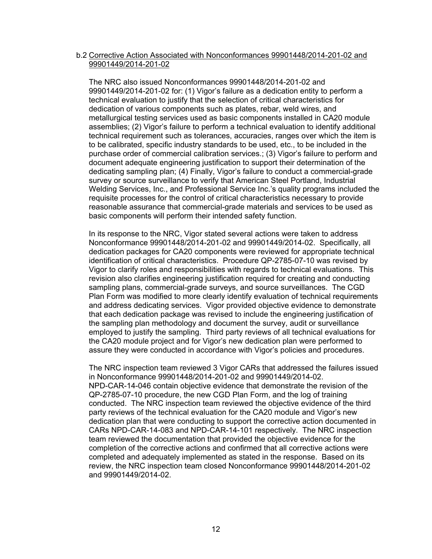#### b.2 Corrective Action Associated with Nonconformances 99901448/2014-201-02 and 99901449/2014-201-02

The NRC also issued Nonconformances 99901448/2014-201-02 and 99901449/2014-201-02 for: (1) Vigor's failure as a dedication entity to perform a technical evaluation to justify that the selection of critical characteristics for dedication of various components such as plates, rebar, weld wires, and metallurgical testing services used as basic components installed in CA20 module assemblies; (2) Vigor's failure to perform a technical evaluation to identify additional technical requirement such as tolerances, accuracies, ranges over which the item is to be calibrated, specific industry standards to be used, etc., to be included in the purchase order of commercial calibration services.; (3) Vigor's failure to perform and document adequate engineering justification to support their determination of the dedicating sampling plan; (4) Finally, Vigor's failure to conduct a commercial-grade survey or source surveillance to verify that American Steel Portland, Industrial Welding Services, Inc., and Professional Service Inc.'s quality programs included the requisite processes for the control of critical characteristics necessary to provide reasonable assurance that commercial-grade materials and services to be used as basic components will perform their intended safety function.

In its response to the NRC, Vigor stated several actions were taken to address Nonconformance 99901448/2014-201-02 and 99901449/2014-02. Specifically, all dedication packages for CA20 components were reviewed for appropriate technical identification of critical characteristics. Procedure QP-2785-07-10 was revised by Vigor to clarify roles and responsibilities with regards to technical evaluations. This revision also clarifies engineering justification required for creating and conducting sampling plans, commercial-grade surveys, and source surveillances. The CGD Plan Form was modified to more clearly identify evaluation of technical requirements and address dedicating services. Vigor provided objective evidence to demonstrate that each dedication package was revised to include the engineering justification of the sampling plan methodology and document the survey, audit or surveillance employed to justify the sampling. Third party reviews of all technical evaluations for the CA20 module project and for Vigor's new dedication plan were performed to assure they were conducted in accordance with Vigor's policies and procedures.

The NRC inspection team reviewed 3 Vigor CARs that addressed the failures issued in Nonconformance 99901448/2014-201-02 and 99901449/2014-02. NPD-CAR-14-046 contain objective evidence that demonstrate the revision of the QP-2785-07-10 procedure, the new CGD Plan Form, and the log of training conducted. The NRC inspection team reviewed the objective evidence of the third party reviews of the technical evaluation for the CA20 module and Vigor's new dedication plan that were conducting to support the corrective action documented in CARs NPD-CAR-14-083 and NPD-CAR-14-101 respectively. The NRC inspection team reviewed the documentation that provided the objective evidence for the completion of the corrective actions and confirmed that all corrective actions were completed and adequately implemented as stated in the response. Based on its review, the NRC inspection team closed Nonconformance 99901448/2014-201-02 and 99901449/2014-02.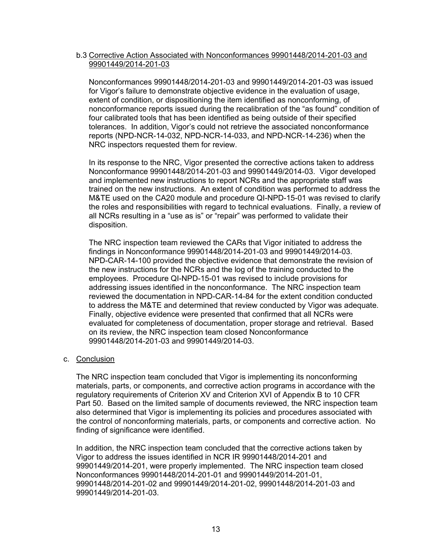### b.3 Corrective Action Associated with Nonconformances 99901448/2014-201-03 and 99901449/2014-201-03

Nonconformances 99901448/2014-201-03 and 99901449/2014-201-03 was issued for Vigor's failure to demonstrate objective evidence in the evaluation of usage, extent of condition, or dispositioning the item identified as nonconforming, of nonconformance reports issued during the recalibration of the "as found" condition of four calibrated tools that has been identified as being outside of their specified tolerances. In addition, Vigor's could not retrieve the associated nonconformance reports (NPD-NCR-14-032, NPD-NCR-14-033, and NPD-NCR-14-236) when the NRC inspectors requested them for review.

In its response to the NRC, Vigor presented the corrective actions taken to address Nonconformance 99901448/2014-201-03 and 99901449/2014-03. Vigor developed and implemented new instructions to report NCRs and the appropriate staff was trained on the new instructions. An extent of condition was performed to address the M&TE used on the CA20 module and procedure QI-NPD-15-01 was revised to clarify the roles and responsibilities with regard to technical evaluations. Finally, a review of all NCRs resulting in a "use as is" or "repair" was performed to validate their disposition.

The NRC inspection team reviewed the CARs that Vigor initiated to address the findings in Nonconformance 99901448/2014-201-03 and 99901449/2014-03. NPD-CAR-14-100 provided the objective evidence that demonstrate the revision of the new instructions for the NCRs and the log of the training conducted to the employees. Procedure QI-NPD-15-01 was revised to include provisions for addressing issues identified in the nonconformance. The NRC inspection team reviewed the documentation in NPD-CAR-14-84 for the extent condition conducted to address the M&TE and determined that review conducted by Vigor was adequate. Finally, objective evidence were presented that confirmed that all NCRs were evaluated for completeness of documentation, proper storage and retrieval. Based on its review, the NRC inspection team closed Nonconformance 99901448/2014-201-03 and 99901449/2014-03.

## c. Conclusion

The NRC inspection team concluded that Vigor is implementing its nonconforming materials, parts, or components, and corrective action programs in accordance with the regulatory requirements of Criterion XV and Criterion XVI of Appendix B to 10 CFR Part 50. Based on the limited sample of documents reviewed, the NRC inspection team also determined that Vigor is implementing its policies and procedures associated with the control of nonconforming materials, parts, or components and corrective action. No finding of significance were identified.

In addition, the NRC inspection team concluded that the corrective actions taken by Vigor to address the issues identified in NCR IR 99901448/2014-201 and 99901449/2014-201, were properly implemented. The NRC inspection team closed Nonconformances 99901448/2014-201-01 and 99901449/2014-201-01, 99901448/2014-201-02 and 99901449/2014-201-02, 99901448/2014-201-03 and 99901449/2014-201-03.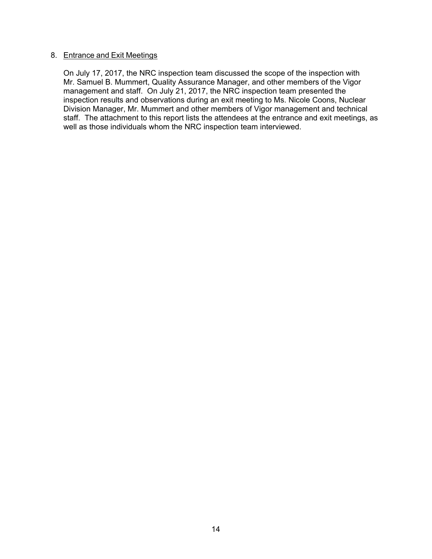### 8. Entrance and Exit Meetings

On July 17, 2017, the NRC inspection team discussed the scope of the inspection with Mr. Samuel B. Mummert, Quality Assurance Manager, and other members of the Vigor management and staff. On July 21, 2017, the NRC inspection team presented the inspection results and observations during an exit meeting to Ms. Nicole Coons, Nuclear Division Manager, Mr. Mummert and other members of Vigor management and technical staff. The attachment to this report lists the attendees at the entrance and exit meetings, as well as those individuals whom the NRC inspection team interviewed.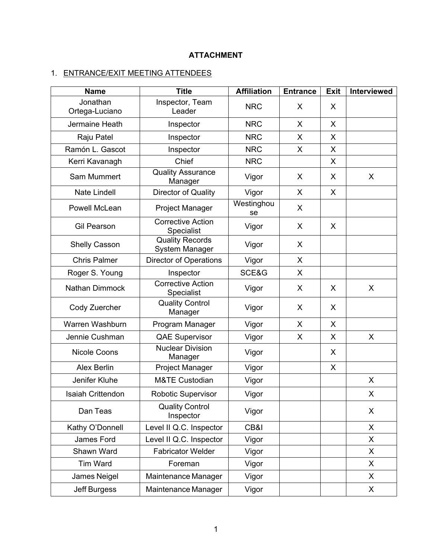# **ATTACHMENT**

# 1. ENTRANCE/EXIT MEETING ATTENDEES

| <b>Name</b>                | <b>Title</b>                                    | <b>Affiliation</b> | <b>Entrance</b> | <b>Exit</b> | Interviewed  |
|----------------------------|-------------------------------------------------|--------------------|-----------------|-------------|--------------|
| Jonathan<br>Ortega-Luciano | Inspector, Team<br>Leader                       | <b>NRC</b>         | X               | X           |              |
| Jermaine Heath             | Inspector                                       | <b>NRC</b>         | X               | X           |              |
| Raju Patel                 | Inspector                                       | <b>NRC</b>         | X               | X           |              |
| Ramón L. Gascot            | Inspector                                       | <b>NRC</b>         | X               | X           |              |
| Kerri Kavanagh             | Chief                                           |                    |                 | X           |              |
| Sam Mummert                | <b>Quality Assurance</b><br>Manager             | Vigor              | X               | X           | X            |
| <b>Nate Lindell</b>        | Director of Quality                             | Vigor              | X               | X           |              |
| Powell McLean              | Project Manager                                 | Westinghou<br>se   | X               |             |              |
| <b>Gil Pearson</b>         | <b>Corrective Action</b><br>Vigor<br>Specialist |                    | X               | X           |              |
| Shelly Casson              | <b>Quality Records</b><br>System Manager        | Vigor              | X               |             |              |
| <b>Chris Palmer</b>        | <b>Director of Operations</b>                   | Vigor              | X               |             |              |
| Roger S. Young             | Inspector                                       | SCE&G              | X               |             |              |
| Nathan Dimmock             | <b>Corrective Action</b><br>Specialist          | Vigor              | X               | X           | $\mathsf{X}$ |
| Cody Zuercher              | <b>Quality Control</b><br>Manager               | Vigor              | X               | X           |              |
| Warren Washburn            | Program Manager                                 |                    | X               | X           |              |
| Jennie Cushman             | <b>QAE Supervisor</b>                           |                    | X               | X           | X            |
| <b>Nicole Coons</b>        | <b>Nuclear Division</b><br>Manager              | Vigor              |                 | X           |              |
| <b>Alex Berlin</b>         | <b>Project Manager</b>                          | Vigor              |                 | X           |              |
| Jenifer Kluhe              | <b>M&amp;TE Custodian</b>                       | Vigor              |                 |             | X            |
| <b>Isaiah Crittendon</b>   | Robotic Supervisor                              | Vigor              |                 |             | X            |
| Dan Teas                   | <b>Quality Control</b><br>Inspector             | Vigor              |                 |             | X            |
| Kathy O'Donnell            | Level II Q.C. Inspector                         | CB&I               |                 |             | X            |
| James Ford                 | Level II Q.C. Inspector                         | Vigor              |                 |             | X.           |
| Shawn Ward                 | <b>Fabricator Welder</b>                        | Vigor              |                 |             | X            |
| Tim Ward                   | Foreman                                         | Vigor              |                 |             | X.           |
| James Neigel               | Maintenance Manager                             | Vigor              |                 |             | X.           |
| Jeff Burgess               | Maintenance Manager                             | Vigor              |                 |             | X            |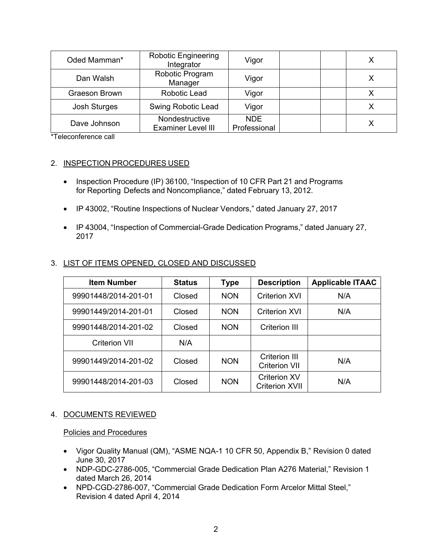| Oded Mamman*        | <b>Robotic Engineering</b><br>Integrator    | Vigor                      |  |
|---------------------|---------------------------------------------|----------------------------|--|
| Dan Walsh           | Robotic Program<br>Manager                  | Vigor                      |  |
| Graeson Brown       | Robotic Lead                                | Vigor                      |  |
| <b>Josh Sturges</b> | Swing Robotic Lead                          | Vigor                      |  |
| Dave Johnson        | Nondestructive<br><b>Examiner Level III</b> | <b>NDE</b><br>Professional |  |

\*Teleconference call

## 2. INSPECTION PROCEDURES USED

- Inspection Procedure (IP) 36100, "Inspection of 10 CFR Part 21 and Programs for Reporting Defects and Noncompliance," dated February 13, 2012.
- IP 43002, "Routine Inspections of Nuclear Vendors," dated January 27, 2017
- IP 43004, "Inspection of Commercial-Grade Dedication Programs," dated January 27, 2017

| <b>Item Number</b>   | <b>Status</b> | Type       | <b>Description</b>                           | <b>Applicable ITAAC</b> |
|----------------------|---------------|------------|----------------------------------------------|-------------------------|
| 99901448/2014-201-01 | Closed        | <b>NON</b> | Criterion XVI                                | N/A                     |
| 99901449/2014-201-01 | Closed        | <b>NON</b> | <b>Criterion XVI</b>                         | N/A                     |
| 99901448/2014-201-02 | Closed        | <b>NON</b> | Criterion III                                |                         |
| <b>Criterion VII</b> | N/A           |            |                                              |                         |
| 99901449/2014-201-02 | Closed        | <b>NON</b> | <b>Criterion III</b><br><b>Criterion VII</b> | N/A                     |
| 99901448/2014-201-03 | Closed        | <b>NON</b> | <b>Criterion XV</b><br><b>Criterion XVII</b> | N/A                     |

## 3. LIST OF ITEMS OPENED, CLOSED AND DISCUSSED

## 4. DOCUMENTS REVIEWED

#### Policies and Procedures

- Vigor Quality Manual (QM), "ASME NQA-1 10 CFR 50, Appendix B," Revision 0 dated June 30, 2017
- NDP-GDC-2786-005, "Commercial Grade Dedication Plan A276 Material," Revision 1 dated March 26, 2014
- NPD-CGD-2786-007, "Commercial Grade Dedication Form Arcelor Mittal Steel," Revision 4 dated April 4, 2014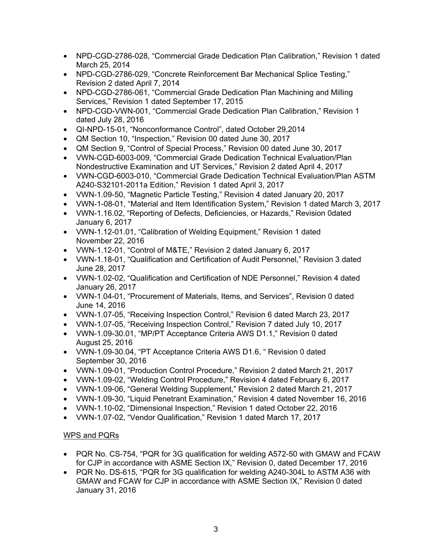- NPD-CGD-2786-028, "Commercial Grade Dedication Plan Calibration," Revision 1 dated March 25, 2014
- NPD-CGD-2786-029, "Concrete Reinforcement Bar Mechanical Splice Testing," Revision 2 dated April 7, 2014
- NPD-CGD-2786-061, "Commercial Grade Dedication Plan Machining and Milling Services," Revision 1 dated September 17, 2015
- NPD-CGD-VWN-001, "Commercial Grade Dedication Plan Calibration," Revision 1 dated July 28, 2016
- QI-NPD-15-01, "Nonconformance Control", dated October 29,2014
- QM Section 10, "Inspection," Revision 00 dated June 30, 2017
- QM Section 9, "Control of Special Process," Revision 00 dated June 30, 2017
- VWN-CGD-6003-009, "Commercial Grade Dedication Technical Evaluation/Plan Nondestructive Examination and UT Services," Revision 2 dated April 4, 2017
- VWN-CGD-6003-010, "Commercial Grade Dedication Technical Evaluation/Plan ASTM A240-S32101-2011a Edition," Revision 1 dated April 3, 2017
- VWN-1.09-50, "Magnetic Particle Testing," Revision 4 dated January 20, 2017
- VWN-1-08-01, "Material and Item Identification System," Revision 1 dated March 3, 2017
- VWN-1.16.02, "Reporting of Defects, Deficiencies, or Hazards," Revision 0dated January 6, 2017
- VWN-1.12-01.01, "Calibration of Welding Equipment," Revision 1 dated November 22, 2016
- VWN-1.12-01, "Control of M&TE," Revision 2 dated January 6, 2017
- VWN-1.18-01, "Qualification and Certification of Audit Personnel," Revision 3 dated June 28, 2017
- VWN-1.02-02, "Qualification and Certification of NDE Personnel," Revision 4 dated January 26, 2017
- VWN-1.04-01, "Procurement of Materials, Items, and Services", Revision 0 dated June 14, 2016
- VWN-1.07-05, "Receiving Inspection Control," Revision 6 dated March 23, 2017
- VWN-1.07-05, "Receiving Inspection Control," Revision 7 dated July 10, 2017
- VWN-1.09-30.01, "MP/PT Acceptance Criteria AWS D1.1," Revision 0 dated August 25, 2016
- VWN-1.09-30.04, "PT Acceptance Criteria AWS D1.6, " Revision 0 dated September 30, 2016
- VWN-1.09-01, "Production Control Procedure," Revision 2 dated March 21, 2017
- VWN-1.09-02, "Welding Control Procedure," Revision 4 dated February 6, 2017
- VWN-1.09-06, "General Welding Supplement," Revision 2 dated March 21, 2017
- VWN-1.09-30, "Liquid Penetrant Examination," Revision 4 dated November 16, 2016
- VWN-1.10-02, "Dimensional Inspection," Revision 1 dated October 22, 2016
- VWN-1.07-02, "Vendor Qualification," Revision 1 dated March 17, 2017

# WPS and PQRs

- PQR No. CS-754, "PQR for 3G qualification for welding A572-50 with GMAW and FCAW for CJP in accordance with ASME Section IX," Revision 0, dated December 17, 2016
- PQR No. DS-615, "PQR for 3G qualification for welding A240-304L to ASTM A36 with GMAW and FCAW for CJP in accordance with ASME Section IX," Revision 0 dated January 31, 2016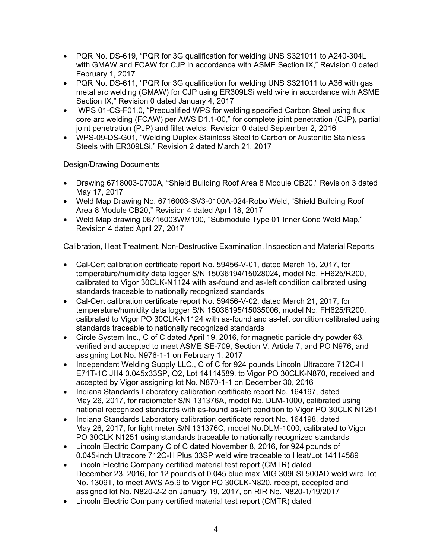- PQR No. DS-619, "PQR for 3G qualification for welding UNS S321011 to A240-304L with GMAW and FCAW for CJP in accordance with ASME Section IX," Revision 0 dated February 1, 2017
- PQR No. DS-611, "PQR for 3G qualification for welding UNS S321011 to A36 with gas metal arc welding (GMAW) for CJP using ER309LSi weld wire in accordance with ASME Section IX," Revision 0 dated January 4, 2017
- WPS 01-CS-F01.0, "Prequalified WPS for welding specified Carbon Steel using flux core arc welding (FCAW) per AWS D1.1-00," for complete joint penetration (CJP), partial joint penetration (PJP) and fillet welds, Revision 0 dated September 2, 2016
- WPS-09-DS-G01, "Welding Duplex Stainless Steel to Carbon or Austenitic Stainless Steels with ER309LSi," Revision 2 dated March 21, 2017

# Design/Drawing Documents

- Drawing 6718003-0700A, "Shield Building Roof Area 8 Module CB20," Revision 3 dated May 17, 2017
- Weld Map Drawing No. 6716003-SV3-0100A-024-Robo Weld, "Shield Building Roof Area 8 Module CB20," Revision 4 dated April 18, 2017
- Weld Map drawing 06716003WM100, "Submodule Type 01 Inner Cone Weld Map," Revision 4 dated April 27, 2017

# Calibration, Heat Treatment, Non-Destructive Examination, Inspection and Material Reports

- Cal-Cert calibration certificate report No. 59456-V-01, dated March 15, 2017, for temperature/humidity data logger S/N 15036194/15028024, model No. FH625/R200, calibrated to Vigor 30CLK-N1124 with as-found and as-left condition calibrated using standards traceable to nationally recognized standards
- Cal-Cert calibration certificate report No. 59456-V-02, dated March 21, 2017, for temperature/humidity data logger S/N 15036195/15035006, model No. FH625/R200, calibrated to Vigor PO 30CLK-N1124 with as-found and as-left condition calibrated using standards traceable to nationally recognized standards
- Circle System Inc., C of C dated April 19, 2016, for magnetic particle dry powder 63, verified and accepted to meet ASME SE-709, Section V, Article 7, and PO N976, and assigning Lot No. N976-1-1 on February 1, 2017
- Independent Welding Supply LLC., C of C for 924 pounds Lincoln Ultracore 712C-H E71T-1C JH4 0.045x33SP, Q2, Lot 14114589, to Vigor PO 30CLK-N870, received and accepted by Vigor assigning lot No. N870-1-1 on December 30, 2016
- Indiana Standards Laboratory calibration certificate report No. 164197, dated May 26, 2017, for radiometer S/N 131376A, model No. DLM-1000, calibrated using national recognized standards with as-found as-left condition to Vigor PO 30CLK N1251
- Indiana Standards Laboratory calibration certificate report No. 164198, dated May 26, 2017, for light meter S/N 131376C, model No.DLM-1000, calibrated to Vigor PO 30CLK N1251 using standards traceable to nationally recognized standards
- Lincoln Electric Company C of C dated November 8, 2016, for 924 pounds of 0.045-inch Ultracore 712C-H Plus 33SP weld wire traceable to Heat/Lot 14114589
- Lincoln Electric Company certified material test report (CMTR) dated December 23, 2016, for 12 pounds of 0.045 blue max MIG 309LSI 500AD weld wire, lot No. 1309T, to meet AWS A5.9 to Vigor PO 30CLK-N820, receipt, accepted and assigned lot No. N820-2-2 on January 19, 2017, on RIR No. N820-1/19/2017
- Lincoln Electric Company certified material test report (CMTR) dated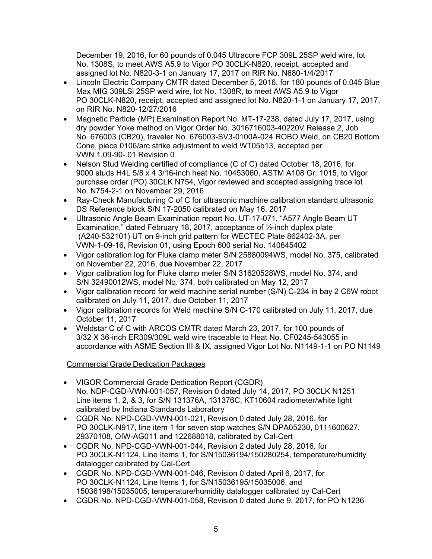December 19, 2016, for 60 pounds of 0.045 Ultracore FCP 309L 25SP weld wire, lot No. 1308S, to meet AWS A5.9 to Vigor PO 30CLK-N820, receipt, accepted and assigned lot No. N820-3-1 on January 17, 2017 on RIR No. N680-1/4/2017

- Lincoln Electric Company CMTR dated December 5, 2016, for 180 pounds of 0.045 Blue Max MIG 309LSi 25SP weld wire, lot No. 1308R, to meet AWS A5.9 to Vigor PO 30CLK-N820, receipt, accepted and assigned lot No. N820-1-1 on January 17, 2017, on RIR No. N820-12/27/2016
- Magnetic Particle (MP) Examination Report No. MT-17-238, dated July 17, 2017, using dry powder Yoke method on Vigor Order No. 3016716003-40220V Release 2, Job No. 676003 (CB20), traveler No. 676003-SV3-0100A-024 ROBO Weld, on CB20 Bottom Cone, piece 0106/arc strike adjustment to weld WT05b13, accepted per VWN 1.09-90-.01 Revision 0
- Nelson Stud Welding certified of compliance (C of C) dated October 18, 2016, for 9000 studs H4L 5/8 x 4 3/16-inch heat No. 10453060, ASTM A108 Gr. 1015, to Vigor purchase order (PO) 30CLK N754, Vigor reviewed and accepted assigning trace lot No. N754-2-1 on November 29, 2016
- Ray-Check Manufacturing C of C for ultrasonic machine calibration standard ultrasonic DS Reference block S/N 17-2050 calibrated on May 16, 2017
- Ultrasonic Angle Beam Examination report No. UT-17-071, "A577 Angle Beam UT Examination," dated February 18, 2017, acceptance of ½-inch duplex plate (A240-532101) UT on 9-inch grid pattern for WECTEC Plate 862402-3A, per VWN-1-09-16, Revision 01, using Epoch 600 serial No. 140645402
- Vigor calibration log for Fluke clamp meter S/N 25880094WS, model No. 375, calibrated on November 22, 2016, due November 22, 2017
- Vigor calibration log for Fluke clamp meter S/N 31620528WS, model No. 374, and S/N 32490012WS, model No. 374, both calibrated on May 12, 2017
- Vigor calibration record for weld machine serial number (S/N) C-234 in bay 2 C6W robot calibrated on July 11, 2017, due October 11, 2017
- Vigor calibration records for Weld machine S/N C-170 calibrated on July 11, 2017, due October 11, 2017
- Weldstar C of C with ARCOS CMTR dated March 23, 2017, for 100 pounds of 3/32 X 36-inch ER309/309L weld wire traceable to Heat No. CF0245-543055 in accordance with ASME Section III & IX, assigned Vigor Lot No. N1149-1-1 on PO N1149

# Commercial Grade Dedication Packages

- VIGOR Commercial Grade Dedication Report (CGDR) No. NDP-CGD-VWN-001-057, Revision 0 dated July 14, 2017, PO 30CLK N1251 Line items 1, 2, & 3, for S/N 131376A, 131376C, KT10604 radiometer/white light calibrated by Indiana Standards Laboratory
- CGDR No. NPD-CGD-VWN-001-021, Revision 0 dated July 28, 2016, for PO 30CLK-N917, line item 1 for seven stop watches S/N DPA05230, 0111600627, 29370108, OIW-AG011 and 122688018, calibrated by Cal-Cert
- CGDR No. NPD-CGD-VWN-001-044, Revision 2 dated July 28, 2016, for PO 30CLK-N1124, Line Items 1, for S/N15036194/150280254, temperature/humidity datalogger calibrated by Cal-Cert
- CGDR No. NPD-CGD-VWN-001-046, Revision 0 dated April 6, 2017, for PO 30CLK-N1124, Line Items 1, for S/N15036195/15035006, and 15036198/15035005, temperature/humidity datalogger calibrated by Cal-Cert
- CGDR No. NPD-CGD-VWN-001-058, Revision 0 dated June 9, 2017, for PO N1236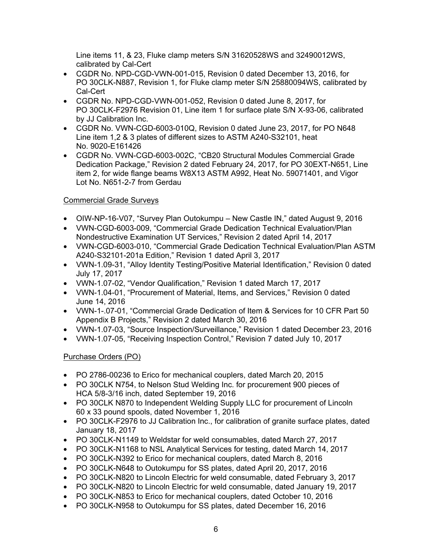Line items 11, & 23, Fluke clamp meters S/N 31620528WS and 32490012WS, calibrated by Cal-Cert

- CGDR No. NPD-CGD-VWN-001-015, Revision 0 dated December 13, 2016, for PO 30CLK-N887, Revision 1, for Fluke clamp meter S/N 25880094WS, calibrated by Cal-Cert
- CGDR No. NPD-CGD-VWN-001-052, Revision 0 dated June 8, 2017, for PO 30CLK-F2976 Revision 01, Line item 1 for surface plate S/N X-93-06, calibrated by JJ Calibration Inc.
- CGDR No. VWN-CGD-6003-010Q, Revision 0 dated June 23, 2017, for PO N648 Line item 1,2 & 3 plates of different sizes to ASTM A240-S32101, heat No. 9020-E161426
- CGDR No. VWN-CGD-6003-002C, "CB20 Structural Modules Commercial Grade Dedication Package," Revision 2 dated February 24, 2017, for PO 30EXT-N651, Line item 2, for wide flange beams W8X13 ASTM A992, Heat No. 59071401, and Vigor Lot No. N651-2-7 from Gerdau

# Commercial Grade Surveys

- OIW-NP-16-V07, "Survey Plan Outokumpu New Castle IN," dated August 9, 2016
- VWN-CGD-6003-009, "Commercial Grade Dedication Technical Evaluation/Plan Nondestructive Examination UT Services," Revision 2 dated April 14, 2017
- VWN-CGD-6003-010, "Commercial Grade Dedication Technical Evaluation/Plan ASTM A240-S32101-201a Edition," Revision 1 dated April 3, 2017
- VWN-1.09-31, "Alloy Identity Testing/Positive Material Identification," Revision 0 dated July 17, 2017
- VWN-1.07-02, "Vendor Qualification," Revision 1 dated March 17, 2017
- VWN-1.04-01, "Procurement of Material, Items, and Services," Revision 0 dated June 14, 2016
- VWN-1-.07-01, "Commercial Grade Dedication of Item & Services for 10 CFR Part 50 Appendix B Projects," Revision 2 dated March 30, 2016
- VWN-1.07-03, "Source Inspection/Surveillance," Revision 1 dated December 23, 2016
- VWN-1.07-05, "Receiving Inspection Control," Revision 7 dated July 10, 2017

# Purchase Orders (PO)

- PO 2786-00236 to Erico for mechanical couplers, dated March 20, 2015
- PO 30CLK N754, to Nelson Stud Welding Inc. for procurement 900 pieces of HCA 5/8-3/16 inch, dated September 19, 2016
- PO 30CLK N870 to Independent Welding Supply LLC for procurement of Lincoln 60 x 33 pound spools, dated November 1, 2016
- PO 30CLK-F2976 to JJ Calibration Inc., for calibration of granite surface plates, dated January 18, 2017
- PO 30CLK-N1149 to Weldstar for weld consumables, dated March 27, 2017
- PO 30CLK-N1168 to NSL Analytical Services for testing, dated March 14, 2017
- PO 30CLK-N392 to Erico for mechanical couplers, dated March 8, 2016
- PO 30CLK-N648 to Outokumpu for SS plates, dated April 20, 2017, 2016
- PO 30CLK-N820 to Lincoln Electric for weld consumable, dated February 3, 2017
- PO 30CLK-N820 to Lincoln Electric for weld consumable, dated January 19, 2017
- PO 30CLK-N853 to Erico for mechanical couplers, dated October 10, 2016
- PO 30CLK-N958 to Outokumpu for SS plates, dated December 16, 2016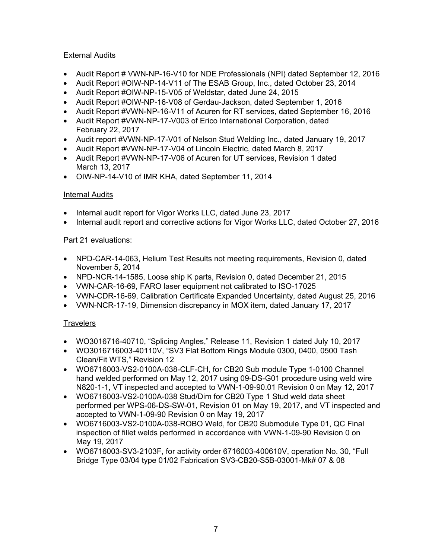# **External Audits**

- Audit Report # VWN-NP-16-V10 for NDE Professionals (NPI) dated September 12, 2016
- Audit Report #OIW-NP-14-V11 of The ESAB Group, Inc., dated October 23, 2014
- Audit Report #OIW-NP-15-V05 of Weldstar, dated June 24, 2015
- Audit Report #OIW-NP-16-V08 of Gerdau-Jackson, dated September 1, 2016
- Audit Report #VWN-NP-16-V11 of Acuren for RT services, dated September 16, 2016
- Audit Report #VWN-NP-17-V003 of Erico International Corporation, dated February 22, 2017
- Audit report #VWN-NP-17-V01 of Nelson Stud Welding Inc., dated January 19, 2017
- Audit Report #VWN-NP-17-V04 of Lincoln Electric, dated March 8, 2017
- Audit Report #VWN-NP-17-V06 of Acuren for UT services, Revision 1 dated March 13, 2017
- OIW-NP-14-V10 of IMR KHA, dated September 11, 2014

# Internal Audits

- Internal audit report for Vigor Works LLC, dated June 23, 2017
- Internal audit report and corrective actions for Vigor Works LLC, dated October 27, 2016

# Part 21 evaluations:

- NPD-CAR-14-063, Helium Test Results not meeting requirements, Revision 0, dated November 5, 2014
- NPD-NCR-14-1585, Loose ship K parts, Revision 0, dated December 21, 2015
- VWN-CAR-16-69, FARO laser equipment not calibrated to ISO-17025
- VWN-CDR-16-69, Calibration Certificate Expanded Uncertainty, dated August 25, 2016
- VWN-NCR-17-19, Dimension discrepancy in MOX item, dated January 17, 2017

# **Travelers**

- WO3016716-40710, "Splicing Angles," Release 11, Revision 1 dated July 10, 2017
- WO3016716003-40110V, "SV3 Flat Bottom Rings Module 0300, 0400, 0500 Tash Clean/Fit WTS," Revision 12
- WO6716003-VS2-0100A-038-CLF-CH, for CB20 Sub module Type 1-0100 Channel hand welded performed on May 12, 2017 using 09-DS-G01 procedure using weld wire N820-1-1, VT inspected and accepted to VWN-1-09-90.01 Revision 0 on May 12, 2017
- WO6716003-VS2-0100A-038 Stud/Dim for CB20 Type 1 Stud weld data sheet performed per WPS-06-DS-SW-01, Revision 01 on May 19, 2017, and VT inspected and accepted to VWN-1-09-90 Revision 0 on May 19, 2017
- WO6716003-VS2-0100A-038-ROBO Weld, for CB20 Submodule Type 01, QC Final inspection of fillet welds performed in accordance with VWN-1-09-90 Revision 0 on May 19, 2017
- WO6716003-SV3-2103F, for activity order 6716003-400610V, operation No. 30, "Full Bridge Type 03/04 type 01/02 Fabrication SV3-CB20-S5B-03001-Mk# 07 & 08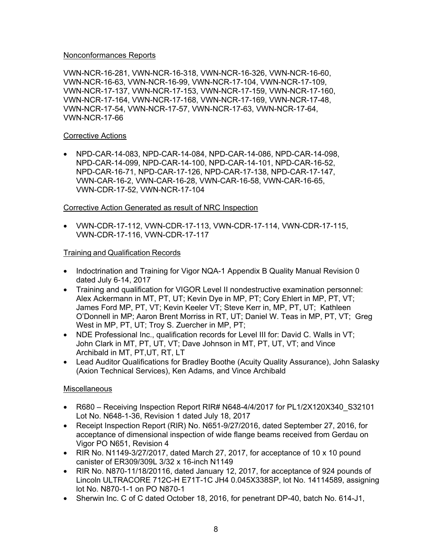## Nonconformances Reports

VWN-NCR-16-281, VWN-NCR-16-318, VWN-NCR-16-326, VWN-NCR-16-60, VWN-NCR-16-63, VWN-NCR-16-99, VWN-NCR-17-104, VWN-NCR-17-109, VWN-NCR-17-137, VWN-NCR-17-153, VWN-NCR-17-159, VWN-NCR-17-160, VWN-NCR-17-164, VWN-NCR-17-168, VWN-NCR-17-169, VWN-NCR-17-48, VWN-NCR-17-54, VWN-NCR-17-57, VWN-NCR-17-63, VWN-NCR-17-64, VWN-NCR-17-66

## Corrective Actions

• NPD-CAR-14-083, NPD-CAR-14-084, NPD-CAR-14-086, NPD-CAR-14-098, NPD-CAR-14-099, NPD-CAR-14-100, NPD-CAR-14-101, NPD-CAR-16-52, NPD-CAR-16-71, NPD-CAR-17-126, NPD-CAR-17-138, NPD-CAR-17-147, VWN-CAR-16-2, VWN-CAR-16-28, VWN-CAR-16-58, VWN-CAR-16-65, VWN-CDR-17-52, VWN-NCR-17-104

# Corrective Action Generated as result of NRC Inspection

• VWN-CDR-17-112, VWN-CDR-17-113, VWN-CDR-17-114, VWN-CDR-17-115, VWN-CDR-17-116, VWN-CDR-17-117

## Training and Qualification Records

- Indoctrination and Training for Vigor NQA-1 Appendix B Quality Manual Revision 0 dated July 6-14, 2017
- Training and qualification for VIGOR Level II nondestructive examination personnel: Alex Ackermann in MT, PT, UT; Kevin Dye in MP, PT; Cory Ehlert in MP, PT, VT; James Ford MP, PT, VT; Kevin Keeler VT; Steve Kerr in, MP, PT, UT; Kathleen O'Donnell in MP; Aaron Brent Morriss in RT, UT; Daniel W. Teas in MP, PT, VT; Greg West in MP, PT, UT; Troy S. Zuercher in MP, PT;
- NDE Professional Inc., qualification records for Level III for: David C. Walls in VT; John Clark in MT, PT, UT, VT; Dave Johnson in MT, PT, UT, VT; and Vince Archibald in MT, PT,UT, RT, LT
- Lead Auditor Qualifications for Bradley Boothe (Acuity Quality Assurance), John Salasky (Axion Technical Services), Ken Adams, and Vince Archibald

## Miscellaneous

- R680 Receiving Inspection Report RIR# N648-4/4/2017 for PL1/2X120X340 S32101 Lot No. N648-1-36, Revision 1 dated July 18, 2017
- Receipt Inspection Report (RIR) No. N651-9/27/2016, dated September 27, 2016, for acceptance of dimensional inspection of wide flange beams received from Gerdau on Vigor PO N651, Revision 4
- RIR No. N1149-3/27/2017, dated March 27, 2017, for acceptance of 10 x 10 pound canister of ER309/309L 3/32 x 16-inch N1149
- RIR No. N870-11/18/20116, dated January 12, 2017, for acceptance of 924 pounds of Lincoln ULTRACORE 712C-H E71T-1C JH4 0.045X338SP, lot No. 14114589, assigning lot No. N870-1-1 on PO N870-1
- Sherwin Inc. C of C dated October 18, 2016, for penetrant DP-40, batch No. 614-J1,